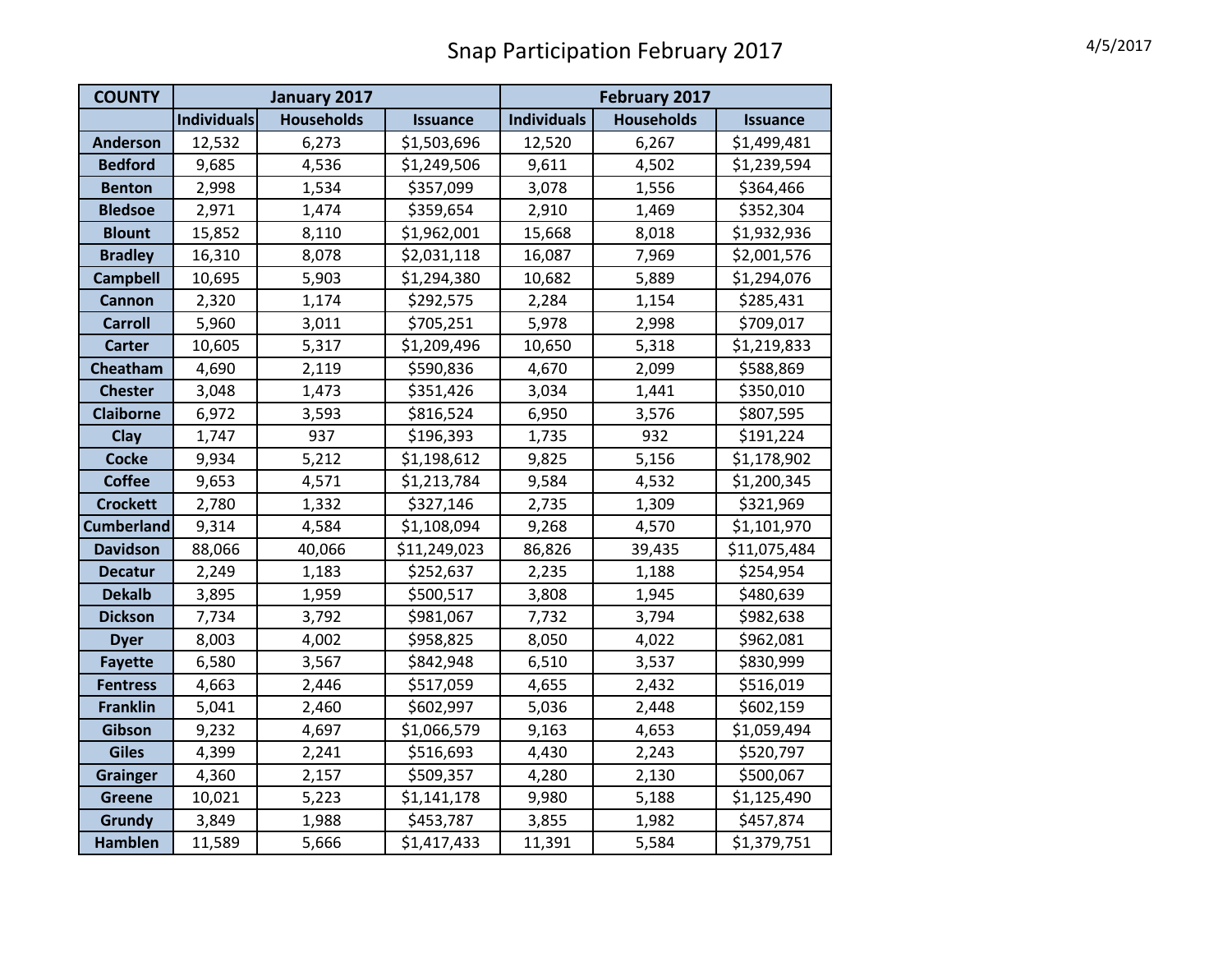| <b>COUNTY</b>     | January 2017       |                   |                 | February 2017      |                   |                 |  |
|-------------------|--------------------|-------------------|-----------------|--------------------|-------------------|-----------------|--|
|                   | <b>Individuals</b> | <b>Households</b> | <b>Issuance</b> | <b>Individuals</b> | <b>Households</b> | <b>Issuance</b> |  |
| <b>Anderson</b>   | 12,532             | 6,273             | \$1,503,696     | 12,520             | 6,267             | \$1,499,481     |  |
| <b>Bedford</b>    | 9,685              | 4,536             | \$1,249,506     | 9,611              | 4,502             | \$1,239,594     |  |
| <b>Benton</b>     | 2,998              | 1,534             | \$357,099       | 3,078              | 1,556             | \$364,466       |  |
| <b>Bledsoe</b>    | 2,971              | 1,474             | \$359,654       | 2,910              | 1,469             | \$352,304       |  |
| <b>Blount</b>     | 15,852             | 8,110             | \$1,962,001     | 15,668             | 8,018             | \$1,932,936     |  |
| <b>Bradley</b>    | 16,310             | 8,078             | \$2,031,118     | 16,087             | 7,969             | \$2,001,576     |  |
| <b>Campbell</b>   | 10,695             | 5,903             | \$1,294,380     | 10,682             | 5,889             | \$1,294,076     |  |
| <b>Cannon</b>     | 2,320              | 1,174             | \$292,575       | 2,284              | 1,154             | \$285,431       |  |
| <b>Carroll</b>    | 5,960              | 3,011             | \$705,251       | 5,978              | 2,998             | \$709,017       |  |
| <b>Carter</b>     | 10,605             | 5,317             | \$1,209,496     | 10,650             | 5,318             | \$1,219,833     |  |
| Cheatham          | 4,690              | 2,119             | \$590,836       | 4,670              | 2,099             | \$588,869       |  |
| <b>Chester</b>    | 3,048              | 1,473             | \$351,426       | 3,034              | 1,441             | \$350,010       |  |
| <b>Claiborne</b>  | 6,972              | 3,593             | \$816,524       | 6,950              | 3,576             | \$807,595       |  |
| Clay              | 1,747              | 937               | \$196,393       | 1,735              | 932               | \$191,224       |  |
| <b>Cocke</b>      | 9,934              | 5,212             | \$1,198,612     | 9,825              | 5,156             | \$1,178,902     |  |
| <b>Coffee</b>     | 9,653              | 4,571             | \$1,213,784     | 9,584              | 4,532             | \$1,200,345     |  |
| <b>Crockett</b>   | 2,780              | 1,332             | \$327,146       | 2,735              | 1,309             | \$321,969       |  |
| <b>Cumberland</b> | 9,314              | 4,584             | \$1,108,094     | 9,268              | 4,570             | \$1,101,970     |  |
| <b>Davidson</b>   | 88,066             | 40,066            | \$11,249,023    | 86,826             | 39,435            | \$11,075,484    |  |
| <b>Decatur</b>    | 2,249              | 1,183             | \$252,637       | 2,235              | 1,188             | \$254,954       |  |
| <b>Dekalb</b>     | 3,895              | 1,959             | \$500,517       | 3,808              | 1,945             | \$480,639       |  |
| <b>Dickson</b>    | 7,734              | 3,792             | \$981,067       | 7,732              | 3,794             | \$982,638       |  |
| <b>Dyer</b>       | 8,003              | 4,002             | \$958,825       | 8,050              | 4,022             | \$962,081       |  |
| <b>Fayette</b>    | 6,580              | 3,567             | \$842,948       | 6,510              | 3,537             | \$830,999       |  |
| <b>Fentress</b>   | 4,663              | 2,446             | \$517,059       | 4,655              | 2,432             | \$516,019       |  |
| <b>Franklin</b>   | 5,041              | 2,460             | \$602,997       | 5,036              | 2,448             | \$602,159       |  |
| Gibson            | 9,232              | 4,697             | \$1,066,579     | 9,163              | 4,653             | \$1,059,494     |  |
| <b>Giles</b>      | 4,399              | 2,241             | \$516,693       | 4,430              | 2,243             | \$520,797       |  |
| <b>Grainger</b>   | 4,360              | 2,157             | \$509,357       | 4,280              | 2,130             | \$500,067       |  |
| <b>Greene</b>     | 10,021             | 5,223             | \$1,141,178     | 9,980              | 5,188             | \$1,125,490     |  |
| Grundy            | 3,849              | 1,988             | \$453,787       | 3,855              | 1,982             | \$457,874       |  |
| <b>Hamblen</b>    | 11,589             | 5,666             | \$1,417,433     | 11,391             | 5,584             | \$1,379,751     |  |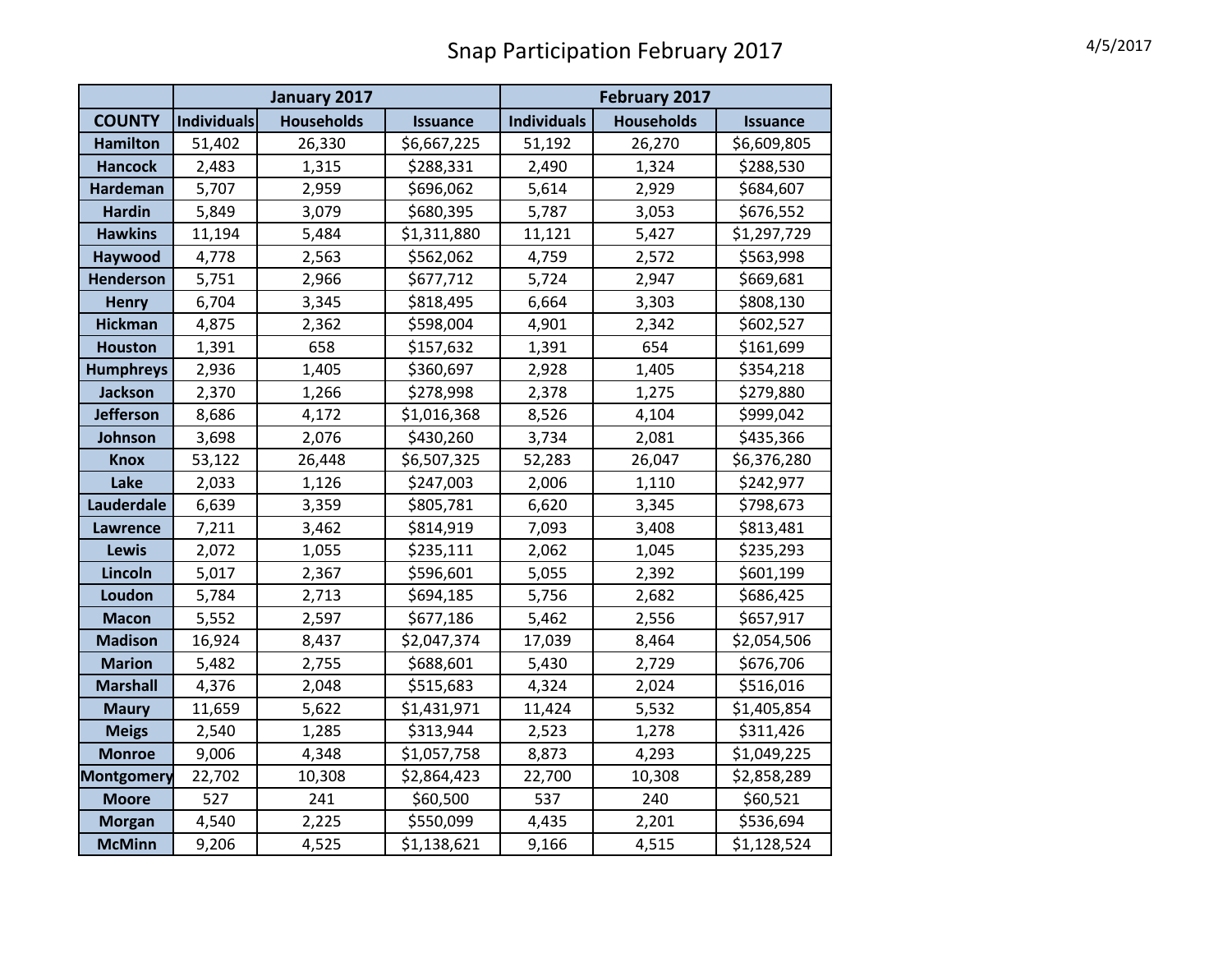|                   | January 2017       |                   |                 | February 2017      |                   |                 |
|-------------------|--------------------|-------------------|-----------------|--------------------|-------------------|-----------------|
| <b>COUNTY</b>     | <b>Individuals</b> | <b>Households</b> | <b>Issuance</b> | <b>Individuals</b> | <b>Households</b> | <b>Issuance</b> |
| <b>Hamilton</b>   | 51,402             | 26,330            | \$6,667,225     | 51,192             | 26,270            | \$6,609,805     |
| <b>Hancock</b>    | 2,483              | 1,315             | \$288,331       | 2,490              | 1,324             | \$288,530       |
| <b>Hardeman</b>   | 5,707              | 2,959             | \$696,062       | 5,614              | 2,929             | \$684,607       |
| <b>Hardin</b>     | 5,849              | 3,079             | \$680,395       | 5,787              | 3,053             | \$676,552       |
| <b>Hawkins</b>    | 11,194             | 5,484             | \$1,311,880     | 11,121             | 5,427             | \$1,297,729     |
| Haywood           | 4,778              | 2,563             | \$562,062       | 4,759              | 2,572             | \$563,998       |
| <b>Henderson</b>  | 5,751              | 2,966             | \$677,712       | 5,724              | 2,947             | \$669,681       |
| <b>Henry</b>      | 6,704              | 3,345             | \$818,495       | 6,664              | 3,303             | \$808,130       |
| <b>Hickman</b>    | 4,875              | 2,362             | \$598,004       | 4,901              | 2,342             | \$602,527       |
| <b>Houston</b>    | 1,391              | 658               | \$157,632       | 1,391              | 654               | \$161,699       |
| <b>Humphreys</b>  | 2,936              | 1,405             | \$360,697       | 2,928              | 1,405             | \$354,218       |
| Jackson           | 2,370              | 1,266             | \$278,998       | 2,378              | 1,275             | \$279,880       |
| <b>Jefferson</b>  | 8,686              | 4,172             | \$1,016,368     | 8,526              | 4,104             | \$999,042       |
| Johnson           | 3,698              | 2,076             | \$430,260       | 3,734              | 2,081             | \$435,366       |
| <b>Knox</b>       | 53,122             | 26,448            | \$6,507,325     | 52,283             | 26,047            | \$6,376,280     |
| Lake              | 2,033              | 1,126             | \$247,003       | 2,006              | 1,110             | \$242,977       |
| <b>Lauderdale</b> | 6,639              | 3,359             | \$805,781       | 6,620              | 3,345             | \$798,673       |
| Lawrence          | 7,211              | 3,462             | \$814,919       | 7,093              | 3,408             | \$813,481       |
| <b>Lewis</b>      | 2,072              | 1,055             | \$235,111       | 2,062              | 1,045             | \$235,293       |
| Lincoln           | 5,017              | 2,367             | \$596,601       | 5,055              | 2,392             | \$601,199       |
| Loudon            | 5,784              | 2,713             | \$694,185       | 5,756              | 2,682             | \$686,425       |
| <b>Macon</b>      | 5,552              | 2,597             | \$677,186       | 5,462              | 2,556             | \$657,917       |
| <b>Madison</b>    | 16,924             | 8,437             | \$2,047,374     | 17,039             | 8,464             | \$2,054,506     |
| <b>Marion</b>     | 5,482              | 2,755             | \$688,601       | 5,430              | 2,729             | \$676,706       |
| <b>Marshall</b>   | 4,376              | 2,048             | \$515,683       | 4,324              | 2,024             | \$516,016       |
| <b>Maury</b>      | 11,659             | 5,622             | \$1,431,971     | 11,424             | 5,532             | \$1,405,854     |
| <b>Meigs</b>      | 2,540              | 1,285             | \$313,944       | 2,523              | 1,278             | \$311,426       |
| <b>Monroe</b>     | 9,006              | 4,348             | \$1,057,758     | 8,873              | 4,293             | \$1,049,225     |
| <b>Montgomery</b> | 22,702             | 10,308            | \$2,864,423     | 22,700             | 10,308            | \$2,858,289     |
| <b>Moore</b>      | 527                | 241               | \$60,500        | 537                | 240               | \$60,521        |
| <b>Morgan</b>     | 4,540              | 2,225             | \$550,099       | 4,435              | 2,201             | \$536,694       |
| <b>McMinn</b>     | 9,206              | 4,525             | \$1,138,621     | 9,166              | 4,515             | \$1,128,524     |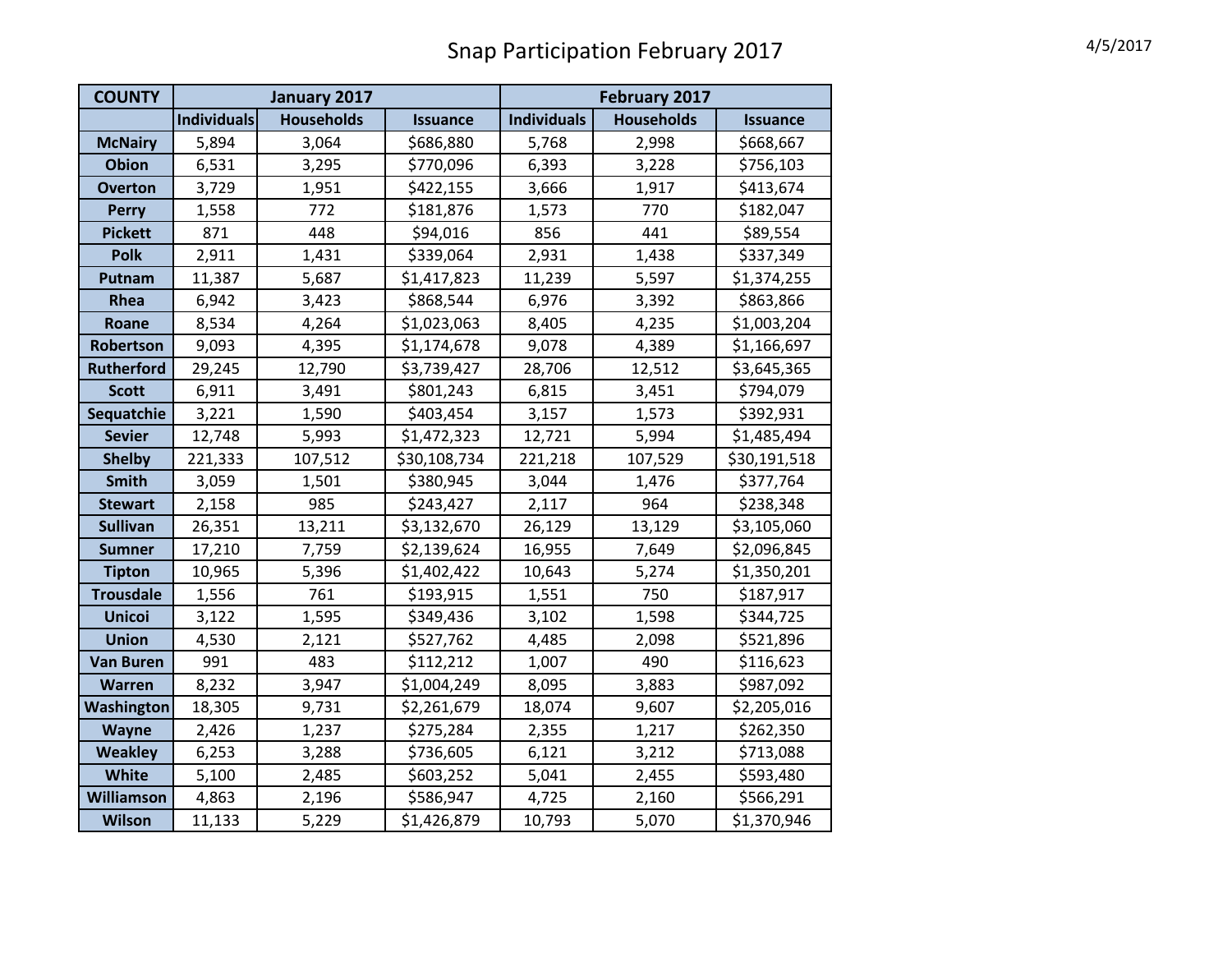| <b>COUNTY</b>     | January 2017       |                   |                 | February 2017      |                   |                 |
|-------------------|--------------------|-------------------|-----------------|--------------------|-------------------|-----------------|
|                   | <b>Individuals</b> | <b>Households</b> | <b>Issuance</b> | <b>Individuals</b> | <b>Households</b> | <b>Issuance</b> |
| <b>McNairy</b>    | 5,894              | 3,064             | \$686,880       | 5,768              | 2,998             | \$668,667       |
| <b>Obion</b>      | 6,531              | 3,295             | \$770,096       | 6,393              | 3,228             | \$756,103       |
| <b>Overton</b>    | 3,729              | 1,951             | \$422,155       | 3,666              | 1,917             | \$413,674       |
| <b>Perry</b>      | 1,558              | 772               | \$181,876       | 1,573              | 770               | \$182,047       |
| <b>Pickett</b>    | 871                | 448               | \$94,016        | 856                | 441               | \$89,554        |
| <b>Polk</b>       | 2,911              | 1,431             | \$339,064       | 2,931              | 1,438             | \$337,349       |
| Putnam            | 11,387             | 5,687             | \$1,417,823     | 11,239             | 5,597             | \$1,374,255     |
| Rhea              | 6,942              | 3,423             | \$868,544       | 6,976              | 3,392             | \$863,866       |
| Roane             | 8,534              | 4,264             | \$1,023,063     | 8,405              | 4,235             | \$1,003,204     |
| Robertson         | 9,093              | 4,395             | \$1,174,678     | 9,078              | 4,389             | \$1,166,697     |
| <b>Rutherford</b> | 29,245             | 12,790            | \$3,739,427     | 28,706             | 12,512            | \$3,645,365     |
| <b>Scott</b>      | 6,911              | 3,491             | \$801,243       | 6,815              | 3,451             | \$794,079       |
| Sequatchie        | 3,221              | 1,590             | \$403,454       | 3,157              | 1,573             | \$392,931       |
| <b>Sevier</b>     | 12,748             | 5,993             | \$1,472,323     | 12,721             | 5,994             | \$1,485,494     |
| <b>Shelby</b>     | 221,333            | 107,512           | \$30,108,734    | 221,218            | 107,529           | \$30,191,518    |
| <b>Smith</b>      | 3,059              | 1,501             | \$380,945       | 3,044              | 1,476             | \$377,764       |
| <b>Stewart</b>    | 2,158              | 985               | \$243,427       | 2,117              | 964               | \$238,348       |
| <b>Sullivan</b>   | 26,351             | 13,211            | \$3,132,670     | 26,129             | 13,129            | \$3,105,060     |
| <b>Sumner</b>     | 17,210             | 7,759             | \$2,139,624     | 16,955             | 7,649             | \$2,096,845     |
| <b>Tipton</b>     | 10,965             | 5,396             | \$1,402,422     | 10,643             | 5,274             | \$1,350,201     |
| <b>Trousdale</b>  | 1,556              | 761               | \$193,915       | 1,551              | 750               | \$187,917       |
| <b>Unicoi</b>     | 3,122              | 1,595             | \$349,436       | 3,102              | 1,598             | \$344,725       |
| <b>Union</b>      | 4,530              | 2,121             | \$527,762       | 4,485              | 2,098             | \$521,896       |
| <b>Van Buren</b>  | 991                | 483               | \$112,212       | 1,007              | 490               | \$116,623       |
| <b>Warren</b>     | 8,232              | 3,947             | \$1,004,249     | 8,095              | 3,883             | \$987,092       |
| Washington        | 18,305             | 9,731             | \$2,261,679     | 18,074             | 9,607             | \$2,205,016     |
| <b>Wayne</b>      | 2,426              | 1,237             | \$275,284       | 2,355              | 1,217             | \$262,350       |
| <b>Weakley</b>    | 6,253              | 3,288             | \$736,605       | 6,121              | 3,212             | \$713,088       |
| White             | 5,100              | 2,485             | \$603,252       | 5,041              | 2,455             | \$593,480       |
| Williamson        | 4,863              | 2,196             | \$586,947       | 4,725              | 2,160             | \$566,291       |
| <b>Wilson</b>     | 11,133             | 5,229             | \$1,426,879     | 10,793             | 5,070             | \$1,370,946     |